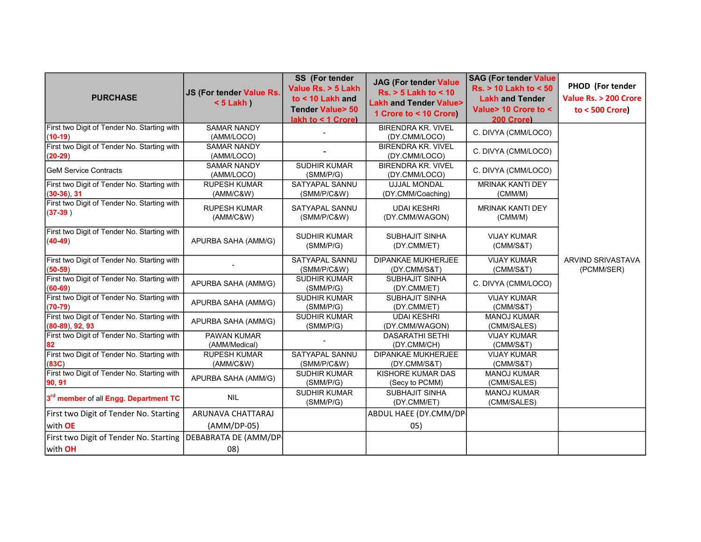| <b>PURCHASE</b>                                                   | JS (For tender Value Rs.<br>$< 5$ Lakh $)$ | <b>SS</b> (For tender<br>Value Rs. > 5 Lakh<br>to < 10 Lakh and<br><b>Tender Value&gt; 50</b><br>lakh to < 1 Crore) | <b>JAG (For tender Value</b><br>$Rs. > 5$ Lakh to < 10<br><b>Lakh and Tender Value&gt;</b><br>1 Crore to < 10 Crore) | <b>SAG (For tender Value</b><br><b>Rs. &gt; 10 Lakh to &lt; 50</b><br><b>Lakh and Tender</b><br>Value> 10 Crore to <<br>200 Crore) | PHOD (For tender<br>Value Rs. > 200 Crore<br>to < $500$ Crore) |
|-------------------------------------------------------------------|--------------------------------------------|---------------------------------------------------------------------------------------------------------------------|----------------------------------------------------------------------------------------------------------------------|------------------------------------------------------------------------------------------------------------------------------------|----------------------------------------------------------------|
| First two Digit of Tender No. Starting with<br>$(10-19)$          | <b>SAMAR NANDY</b><br>(AMM/LOCO)           |                                                                                                                     | <b>BIRENDRA KR. VIVEL</b><br>(DY.CMM/LOCO)                                                                           | C. DIVYA (CMM/LOCO)                                                                                                                |                                                                |
| First two Digit of Tender No. Starting with<br>$(20-29)$          | <b>SAMAR NANDY</b><br>(AMM/LOCO)           |                                                                                                                     | <b>BIRENDRA KR. VIVEL</b><br>(DY.CMM/LOCO)                                                                           | C. DIVYA (CMM/LOCO)                                                                                                                |                                                                |
| <b>IGeM Service Contracts</b>                                     | <b>SAMAR NANDY</b><br>(AMM/LOCO)           | <b>SUDHIR KUMAR</b><br>(SMM/P/G)                                                                                    | <b>BIRENDRA KR. VIVEL</b><br>(DY.CMM/LOCO)                                                                           | C. DIVYA (CMM/LOCO)                                                                                                                |                                                                |
| First two Digit of Tender No. Starting with<br>$(30-36), 31$      | <b>RUPESH KUMAR</b><br>(AMM/C&W)           | SATYAPAL SANNU<br>(SMM/P/C&W)                                                                                       | <b>UJJAL MONDAL</b><br>(DY.CMM/Coaching)                                                                             | <b>MRINAK KANTI DEY</b><br>(CMM/M)                                                                                                 |                                                                |
| First two Digit of Tender No. Starting with<br>$(37-39)$          | <b>RUPESH KUMAR</b><br>(AMM/C&W)           | SATYAPAL SANNU<br>(SMM/P/C&W)                                                                                       | <b>UDAI KESHRI</b><br>(DY.CMM/WAGON)                                                                                 | <b>MRINAK KANTI DEY</b><br>(CMM/M)                                                                                                 |                                                                |
| First two Digit of Tender No. Starting with<br>$(40-49)$          | APURBA SAHA (AMM/G)                        | <b>SUDHIR KUMAR</b><br>(SMM/P/G)                                                                                    | <b>SUBHAJIT SINHA</b><br>(DY.CMM/ET)                                                                                 | <b>VIJAY KUMAR</b><br>(CMM/SAT)                                                                                                    |                                                                |
| First two Digit of Tender No. Starting with<br>$(50-59)$          |                                            | SATYAPAL SANNU<br>(SMM/P/C&W)                                                                                       | <b>DIPANKAE MUKHERJEE</b><br>(DY.CMM/S&T)                                                                            | <b>VIJAY KUMAR</b><br>(CMM/SAT)                                                                                                    | ARVIND SRIVASTAVA<br>(PCMM/SER)                                |
| First two Digit of Tender No. Starting with<br>$(60-69)$          | APURBA SAHA (AMM/G)                        | <b>SUDHIR KUMAR</b><br>(SMM/P/G)                                                                                    | <b>SUBHAJIT SINHA</b><br>(DY.CMM/ET)                                                                                 | C. DIVYA (CMM/LOCO)                                                                                                                |                                                                |
| First two Digit of Tender No. Starting with<br>$(70-79)$          | APURBA SAHA (AMM/G)                        | <b>SUDHIR KUMAR</b><br>(SMM/P/G)                                                                                    | <b>SUBHAJIT SINHA</b><br>(DY.CMM/ET)                                                                                 | <b>VIJAY KUMAR</b><br>(CMM/S&T)                                                                                                    |                                                                |
| First two Digit of Tender No. Starting with<br>$(80-89)$ , 92, 93 | APURBA SAHA (AMM/G)                        | <b>SUDHIR KUMAR</b><br>(SMM/P/G)                                                                                    | <b>UDAI KESHRI</b><br>(DY.CMM/WAGON)                                                                                 | <b>MANOJ KUMAR</b><br>(CMM/SALES)                                                                                                  |                                                                |
| First two Digit of Tender No. Starting with                       | PAWAN KUMAR<br>(AMM/Medical)               |                                                                                                                     | <b>DASARATHI SETHI</b><br>(DY.CMM/CH)                                                                                | <b>VIJAY KUMAR</b><br>(CMM/SAT)                                                                                                    |                                                                |
| First two Digit of Tender No. Starting with<br>(83C)              | <b>RUPESH KUMAR</b><br>(AMM/C&W)           | SATYAPAL SANNU<br>(SMM/P/C&W)                                                                                       | <b>DIPANKAE MUKHERJEE</b><br>(DY.CMM/S&T)                                                                            | <b>VIJAY KUMAR</b><br>(CMM/S&T)                                                                                                    |                                                                |
| First two Digit of Tender No. Starting with<br>90 91              | APURBA SAHA (AMM/G)                        | <b>SUDHIR KUMAR</b><br>(SMM/P/G)                                                                                    | KISHORE KUMAR DAS<br>(Secy to PCMM)                                                                                  | <b>MANOJ KUMAR</b><br>(CMM/SALES)                                                                                                  |                                                                |
| 3 <sup>rd</sup> member of all Engg. Department TC                 | <b>NIL</b>                                 | <b>SUDHIR KUMAR</b><br>(SMM/P/G)                                                                                    | <b>SUBHAJIT SINHA</b><br>(DY.CMM/ET)                                                                                 | <b>MANOJ KUMAR</b><br>(CMM/SALES)                                                                                                  |                                                                |
| First two Digit of Tender No. Starting                            | ARUNAVA CHATTARAJ                          |                                                                                                                     | ABDUL HAEE (DY.CMM/DP                                                                                                |                                                                                                                                    |                                                                |
| with <b>OE</b>                                                    | (AMM/DP-05)                                |                                                                                                                     | 05)                                                                                                                  |                                                                                                                                    |                                                                |
| First two Digit of Tender No. Starting                            | DEBABRATA DE (AMM/DP-                      |                                                                                                                     |                                                                                                                      |                                                                                                                                    |                                                                |
| with OH                                                           | 08)                                        |                                                                                                                     |                                                                                                                      |                                                                                                                                    |                                                                |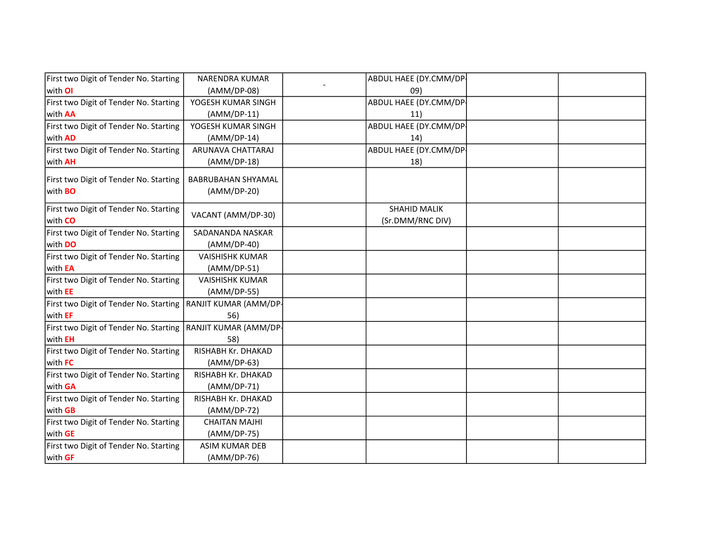| First two Digit of Tender No. Starting                   | NARENDRA KUMAR                           | ABDUL HAEE (DY.CMM/DP  |
|----------------------------------------------------------|------------------------------------------|------------------------|
| with OI                                                  | (AMM/DP-08)                              | 09)                    |
| First two Digit of Tender No. Starting                   | YOGESH KUMAR SINGH                       | ABDUL HAEE (DY.CMM/DP- |
| with <b>AA</b>                                           | $(AMM/DP-11)$                            | 11)                    |
| First two Digit of Tender No. Starting                   | YOGESH KUMAR SINGH                       | ABDUL HAEE (DY.CMM/DP- |
| with <b>AD</b>                                           | (AMM/DP-14)                              | 14)                    |
| First two Digit of Tender No. Starting                   | ARUNAVA CHATTARAJ                        | ABDUL HAEE (DY.CMM/DP- |
| with <b>AH</b>                                           | (AMM/DP-18)                              | 18)                    |
| First two Digit of Tender No. Starting<br>with <b>BO</b> | <b>BABRUBAHAN SHYAMAL</b><br>(AMM/DP-20) |                        |
| First two Digit of Tender No. Starting<br>with CO        | VACANT (AMM/DP-30)                       | <b>SHAHID MALIK</b>    |
|                                                          |                                          | (Sr.DMM/RNC DIV)       |
| First two Digit of Tender No. Starting                   | SADANANDA NASKAR                         |                        |
| with DO                                                  | $(AMM/DP-40)$                            |                        |
| First two Digit of Tender No. Starting                   | <b>VAISHISHK KUMAR</b>                   |                        |
| with <b>EA</b>                                           | (AMM/DP-51)                              |                        |
| First two Digit of Tender No. Starting                   | <b>VAISHISHK KUMAR</b>                   |                        |
| with EE                                                  | (AMM/DP-55)                              |                        |
| First two Digit of Tender No. Starting                   | RANJIT KUMAR (AMM/DP-                    |                        |
| with EF                                                  | 56)                                      |                        |
| First two Digit of Tender No. Starting                   | RANJIT KUMAR (AMM/DP-                    |                        |
| with <b>EH</b>                                           | 58)                                      |                        |
| First two Digit of Tender No. Starting                   | RISHABH Kr. DHAKAD                       |                        |
| with FC                                                  | (AMM/DP-63)                              |                        |
| First two Digit of Tender No. Starting                   | RISHABH Kr. DHAKAD                       |                        |
| with GA                                                  | (AMM/DP-71)                              |                        |
| First two Digit of Tender No. Starting                   | RISHABH Kr. DHAKAD                       |                        |
| with <b>GB</b>                                           | (AMM/DP-72)                              |                        |
| First two Digit of Tender No. Starting                   | <b>CHAITAN MAJHI</b>                     |                        |
| with GE                                                  | (AMM/DP-75)                              |                        |
| First two Digit of Tender No. Starting                   | <b>ASIM KUMAR DEB</b>                    |                        |
| with GF                                                  | (AMM/DP-76)                              |                        |